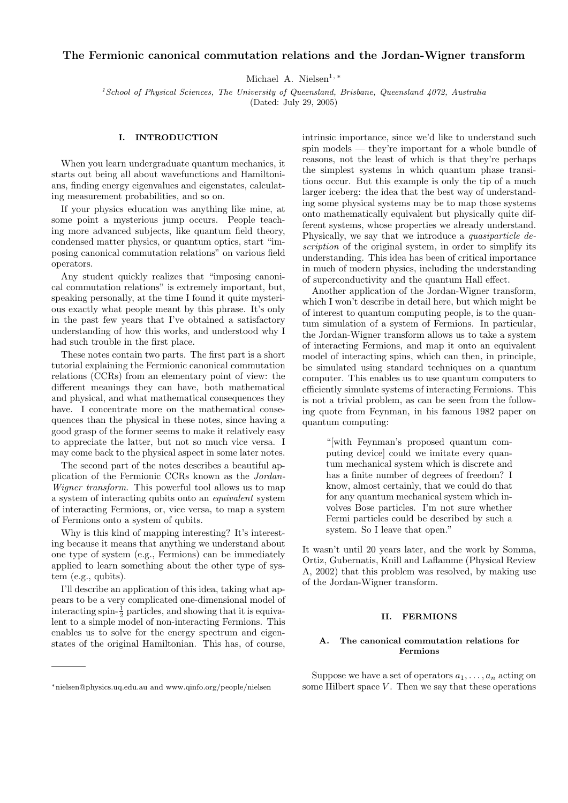# The Fermionic canonical commutation relations and the Jordan-Wigner transform

Michael A. Nielsen<sup>1,\*</sup>

 $1$ School of Physical Sciences, The University of Queensland, Brisbane, Queensland  $4072$ , Australia (Dated: July 29, 2005)

### I. INTRODUCTION

When you learn undergraduate quantum mechanics, it starts out being all about wavefunctions and Hamiltonians, finding energy eigenvalues and eigenstates, calculating measurement probabilities, and so on.

If your physics education was anything like mine, at some point a mysterious jump occurs. People teaching more advanced subjects, like quantum field theory, condensed matter physics, or quantum optics, start "imposing canonical commutation relations" on various field operators.

Any student quickly realizes that "imposing canonical commutation relations" is extremely important, but, speaking personally, at the time I found it quite mysterious exactly what people meant by this phrase. It's only in the past few years that I've obtained a satisfactory understanding of how this works, and understood why I had such trouble in the first place.

These notes contain two parts. The first part is a short tutorial explaining the Fermionic canonical commutation relations (CCRs) from an elementary point of view: the different meanings they can have, both mathematical and physical, and what mathematical consequences they have. I concentrate more on the mathematical consequences than the physical in these notes, since having a good grasp of the former seems to make it relatively easy to appreciate the latter, but not so much vice versa. I may come back to the physical aspect in some later notes.

The second part of the notes describes a beautiful application of the Fermionic CCRs known as the Jordan-Wigner transform. This powerful tool allows us to map a system of interacting qubits onto an equivalent system of interacting Fermions, or, vice versa, to map a system of Fermions onto a system of qubits.

Why is this kind of mapping interesting? It's interesting because it means that anything we understand about one type of system (e.g., Fermions) can be immediately applied to learn something about the other type of system (e.g., qubits).

I'll describe an application of this idea, taking what appears to be a very complicated one-dimensional model of interacting spin- $\frac{1}{2}$  particles, and showing that it is equivalent to a simple model of non-interacting Fermions. This enables us to solve for the energy spectrum and eigenstates of the original Hamiltonian. This has, of course,

<sup>∗</sup>nielsen@physics.uq.edu.au and www.qinfo.org/people/nielsen

intrinsic importance, since we'd like to understand such spin models — they're important for a whole bundle of reasons, not the least of which is that they're perhaps the simplest systems in which quantum phase transitions occur. But this example is only the tip of a much larger iceberg: the idea that the best way of understanding some physical systems may be to map those systems onto mathematically equivalent but physically quite different systems, whose properties we already understand. Physically, we say that we introduce a quasiparticle description of the original system, in order to simplify its understanding. This idea has been of critical importance in much of modern physics, including the understanding of superconductivity and the quantum Hall effect.

Another application of the Jordan-Wigner transform, which I won't describe in detail here, but which might be of interest to quantum computing people, is to the quantum simulation of a system of Fermions. In particular, the Jordan-Wigner transform allows us to take a system of interacting Fermions, and map it onto an equivalent model of interacting spins, which can then, in principle, be simulated using standard techniques on a quantum computer. This enables us to use quantum computers to efficiently simulate systems of interacting Fermions. This is not a trivial problem, as can be seen from the following quote from Feynman, in his famous 1982 paper on quantum computing:

"[with Feynman's proposed quantum computing device] could we imitate every quantum mechanical system which is discrete and has a finite number of degrees of freedom? I know, almost certainly, that we could do that for any quantum mechanical system which involves Bose particles. I'm not sure whether Fermi particles could be described by such a system. So I leave that open."

It wasn't until 20 years later, and the work by Somma, Ortiz, Gubernatis, Knill and Laflamme (Physical Review A, 2002) that this problem was resolved, by making use of the Jordan-Wigner transform.

#### II. FERMIONS

### A. The canonical commutation relations for Fermions

Suppose we have a set of operators  $a_1, \ldots, a_n$  acting on some Hilbert space  $V$ . Then we say that these operations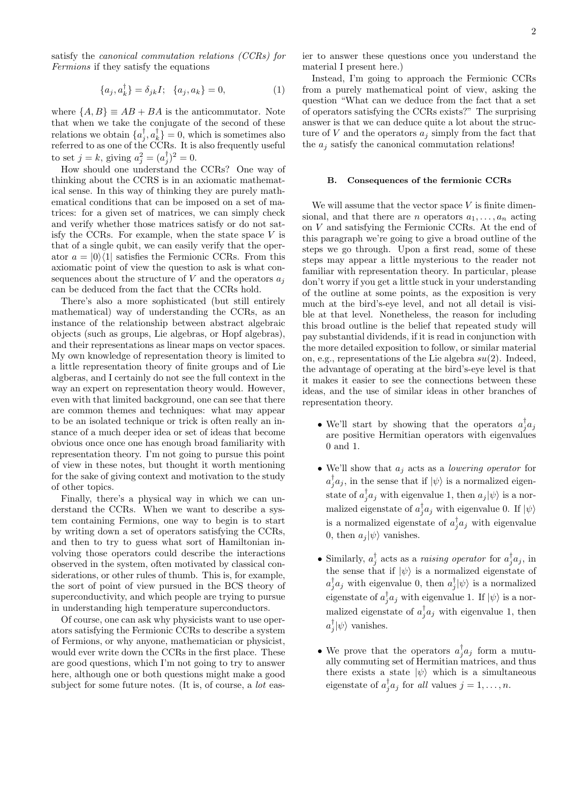satisfy the canonical commutation relations (CCRs) for Fermions if they satisfy the equations

$$
\{a_j, a_k^{\dagger}\} = \delta_{jk}I; \ \{a_j, a_k\} = 0, \tag{1}
$$

where  $\{A, B\} \equiv AB + BA$  is the anticommutator. Note that when we take the conjugate of the second of these relations we obtain  $\{a_j^{\dagger}, a_k^{\dagger}\}=0$ , which is sometimes also referred to as one of the CCRs. It is also frequently useful to set  $j = k$ , giving  $a_j^2 = (a_j^{\dagger})^2 = 0$ .

How should one understand the CCRs? One way of thinking about the CCRS is in an axiomatic mathematical sense. In this way of thinking they are purely mathematical conditions that can be imposed on a set of matrices: for a given set of matrices, we can simply check and verify whether those matrices satisfy or do not satisfy the CCRs. For example, when the state space  $V$  is that of a single qubit, we can easily verify that the operator  $a = |0\rangle\langle 1|$  satisfies the Fermionic CCRs. From this axiomatic point of view the question to ask is what consequences about the structure of V and the operators  $a_i$ can be deduced from the fact that the CCRs hold.

There's also a more sophisticated (but still entirely mathematical) way of understanding the CCRs, as an instance of the relationship between abstract algebraic objects (such as groups, Lie algebras, or Hopf algebras), and their representations as linear maps on vector spaces. My own knowledge of representation theory is limited to a little representation theory of finite groups and of Lie algberas, and I certainly do not see the full context in the way an expert on representation theory would. However, even with that limited background, one can see that there are common themes and techniques: what may appear to be an isolated technique or trick is often really an instance of a much deeper idea or set of ideas that become obvious once once one has enough broad familiarity with representation theory. I'm not going to pursue this point of view in these notes, but thought it worth mentioning for the sake of giving context and motivation to the study of other topics.

Finally, there's a physical way in which we can understand the CCRs. When we want to describe a system containing Fermions, one way to begin is to start by writing down a set of operators satisfying the CCRs, and then to try to guess what sort of Hamiltonian involving those operators could describe the interactions observed in the system, often motivated by classical considerations, or other rules of thumb. This is, for example, the sort of point of view pursued in the BCS theory of superconductivity, and which people are trying to pursue in understanding high temperature superconductors.

Of course, one can ask why physicists want to use operators satisfying the Fermionic CCRs to describe a system of Fermions, or why anyone, mathematician or physicist, would ever write down the CCRs in the first place. These are good questions, which I'm not going to try to answer here, although one or both questions might make a good subject for some future notes. (It is, of course, a *lot* easier to answer these questions once you understand the material I present here.)

Instead, I'm going to approach the Fermionic CCRs from a purely mathematical point of view, asking the question "What can we deduce from the fact that a set of operators satisfying the CCRs exists?" The surprising answer is that we can deduce quite a lot about the structure of  $V$  and the operators  $a_j$  simply from the fact that the  $a_i$  satisfy the canonical commutation relations!

#### B. Consequences of the fermionic CCRs

We will assume that the vector space  $V$  is finite dimensional, and that there are *n* operators  $a_1, \ldots, a_n$  acting on V and satisfying the Fermionic CCRs. At the end of this paragraph we're going to give a broad outline of the steps we go through. Upon a first read, some of these steps may appear a little mysterious to the reader not familiar with representation theory. In particular, please don't worry if you get a little stuck in your understanding of the outline at some points, as the exposition is very much at the bird's-eye level, and not all detail is visible at that level. Nonetheless, the reason for including this broad outline is the belief that repeated study will pay substantial dividends, if it is read in conjunction with the more detailed exposition to follow, or similar material on, e.g., representations of the Lie algebra  $su(2)$ . Indeed, the advantage of operating at the bird's-eye level is that it makes it easier to see the connections between these ideas, and the use of similar ideas in other branches of representation theory.

- We'll start by showing that the operators  $a_j^{\dagger} a_j$ are positive Hermitian operators with eigenvalues 0 and 1.
- We'll show that  $a_j$  acts as a *lowering operator* for  $a_j^{\dagger} a_j$ , in the sense that if  $|\psi\rangle$  is a normalized eigenstate of  $a_j^{\dagger} a_j$  with eigenvalue 1, then  $a_j |\psi\rangle$  is a normalized eigenstate of  $a_j^{\dagger} a_j$  with eigenvalue 0. If  $\ket{\psi}$ is a normalized eigenstate of  $a_j^{\dagger} a_j$  with eigenvalue 0, then  $a_j |\psi\rangle$  vanishes.
- Similarly,  $a_j^{\dagger}$  acts as a raising operator for  $a_j^{\dagger}a_j$ , in the sense that if  $|\psi\rangle$  is a normalized eigenstate of  $a_j^{\dagger} a_j$  with eigenvalue 0, then  $a_j^{\dagger} | \psi \rangle$  is a normalized eigenstate of  $a_j^{\dagger} a_j$  with eigenvalue 1. If  $|\psi\rangle$  is a normalized eigenstate of  $a_j^{\dagger} a_j$  with eigenvalue 1, then  $a_j^{\dagger}|\psi\rangle$  vanishes.
- We prove that the operators  $a_j^{\dagger} a_j$  form a mutually commuting set of Hermitian matrices, and thus there exists a state  $|\psi\rangle$  which is a simultaneous eigenstate of  $a_j^{\dagger} a_j$  for all values  $j = 1, \ldots, n$ .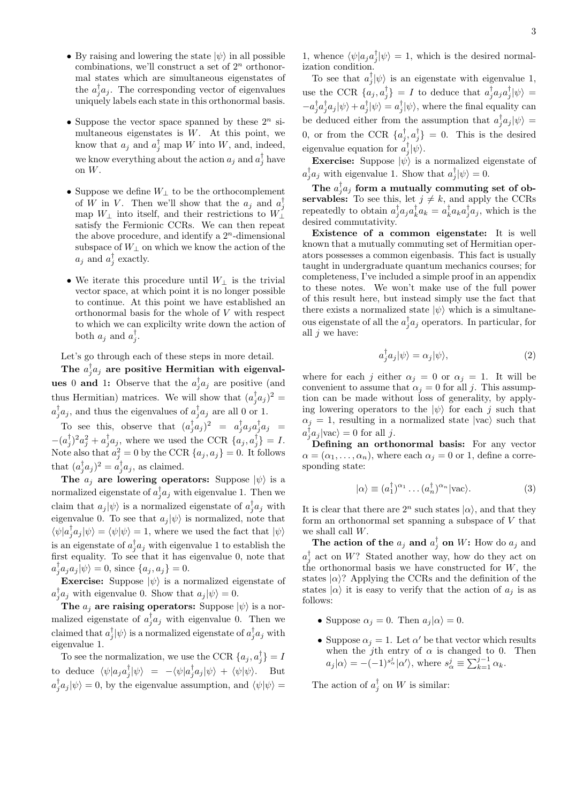- By raising and lowering the state  $|\psi\rangle$  in all possible combinations, we'll construct a set of  $2^n$  orthonormal states which are simultaneous eigenstates of the  $a_j^{\dagger} a_j$ . The corresponding vector of eigenvalues uniquely labels each state in this orthonormal basis.
- Suppose the vector space spanned by these  $2^n$  simultaneous eigenstates is  $W$ . At this point, we know that  $a_j$  and  $a_j^{\dagger}$  map W into W, and, indeed, we know everything about the action  $a_j$  and  $a_j^{\dagger}$  have on W.
- Suppose we define  $W_{\perp}$  to be the orthocomplement of W in V. Then we'll show that the  $a_j$  and  $a_j^{\dagger}$ map  $W_{\perp}$  into itself, and their restrictions to  $W_{\perp}$ satisfy the Fermionic CCRs. We can then repeat the above procedure, and identify a  $2<sup>n</sup>$ -dimensional subspace of  $W_{\perp}$  on which we know the action of the  $a_j$  and  $a_j^{\dagger}$  exactly.
- We iterate this procedure until  $W_+$  is the trivial vector space, at which point it is no longer possible to continue. At this point we have established an orthonormal basis for the whole of V with respect to which we can explicilty write down the action of both  $a_j$  and  $a_j^{\dagger}$ .

Let's go through each of these steps in more detail.

The  $a_j^{\dagger}a_j$  are positive Hermitian with eigenvalues 0 and 1: Observe that the  $a_j^{\dagger} a_j$  are positive (and thus Hermitian) matrices. We will show that  $(a_j^{\dagger} a_j)^2$  =  $a_j^{\dagger} a_j$ , and thus the eigenvalues of  $a_j^{\dagger} a_j$  are all 0 or 1.

To see this, observe that  $(a_j^{\dagger} a_j)^2 = a_j^{\dagger} a_j a_j^{\dagger} a_j =$  $-(a_j^{\dagger})^2 a_j^2 + a_j^{\dagger} a_j$ , where we used the CCR  $\{a_j, a_j^{\dagger}\} = I$ . Note also that  $a_j^2 = 0$  by the CCR  $\{a_j, a_j\} = 0$ . It follows that  $(a_j^{\dagger} a_j)^2 = a_j^{\dagger} a_j$ , as claimed.

The  $a_j$  are lowering operators: Suppose  $|\psi\rangle$  is a normalized eigenstate of  $a_j^{\dagger} a_j$  with eigenvalue 1. Then we claim that  $a_j |\psi\rangle$  is a normalized eigenstate of  $a_j^{\dagger} a_j$  with eigenvalue 0. To see that  $a_j |\psi\rangle$  is normalized, note that  $\langle \psi | a_j^\dagger a_j |\psi \rangle = \langle \psi | \psi \rangle = 1,$  where we used the fact that  $|\psi \rangle$ is an eigenstate of  $a_j^{\dagger} a_j$  with eigenvalue 1 to establish the first equality. To see that it has eigenvalue 0, note that  $a_j^{\dagger} a_j a_j |\psi\rangle = 0$ , since  $\{a_j, a_j\} = 0$ .

**Exercise:** Suppose  $|\psi\rangle$  is a normalized eigenstate of  $a_j^{\dagger} a_j$  with eigenvalue 0. Show that  $a_j |\psi\rangle = 0$ .

The  $a_j$  are raising operators: Suppose  $|\psi\rangle$  is a normalized eigenstate of  $a_j^{\dagger} a_j$  with eigenvalue 0. Then we claimed that  $a_j^{\dagger}|\psi\rangle$  is a normalized eigenstate of  $a_j^{\dagger}a_j$  with eigenvalue 1.

To see the normalization, we use the CCR  $\{a_j, a_j^{\dagger}\}=I$ to deduce  $\langle \psi | a_j a_j^{\dagger} | \psi \rangle = -\langle \psi | a_j^{\dagger} a_j | \psi \rangle + \langle \psi | \psi \rangle$ . But  $a_j^{\dagger} a_j |\psi\rangle = 0$ , by the eigenvalue assumption, and  $\langle \psi | \psi \rangle =$ 

1, whence  $\langle \psi | a_j a_j^{\dagger} | \psi \rangle = 1$ , which is the desired normalization condition.

To see that  $a_j^{\dagger}|\psi\rangle$  is an eigenstate with eigenvalue 1, use the CCR  $\{a_j, a_j^{\dagger}\}=I$  to deduce that  $a_j^{\dagger} a_j a_j^{\dagger} |\psi\rangle =$  $-a_j^{\dagger}a_j^{\dagger}a_j|\psi\rangle + a_j^{\dagger}|\psi\rangle = a_j^{\dagger}|\psi\rangle$ , where the final equality can be deduced either from the assumption that  $a_j^{\dagger} a_j |\psi\rangle =$ 0, or from the CCR  $\{a_j^{\dagger}, a_j^{\dagger}\}=0$ . This is the desired eigenvalue equation for  $a_j^{\dagger}|\psi\rangle$ .

**Exercise:** Suppose  $|\psi\rangle$  is a normalized eigenstate of  $a_j^{\dagger} a_j$  with eigenvalue 1. Show that  $a_j^{\dagger} | \psi \rangle = 0$ .

The  $a_j^{\dagger} a_j^{}$  form a mutually commuting set of observables: To see this, let  $j \neq k$ , and apply the CCRs repeatedly to obtain  $a_j^{\dagger} a_j a_k^{\dagger} a_k = a_k^{\dagger} a_k a_j^{\dagger} a_j$ , which is the desired commutativity.

Existence of a common eigenstate: It is well known that a mutually commuting set of Hermitian operators possesses a common eigenbasis. This fact is usually taught in undergraduate quantum mechanics courses; for completeness, I've included a simple proof in an appendix to these notes. We won't make use of the full power of this result here, but instead simply use the fact that there exists a normalized state  $|\psi\rangle$  which is a simultaneous eigenstate of all the  $a_j^{\dagger} a_j$  operators. In particular, for all  $j$  we have:

$$
a_j^{\dagger} a_j |\psi\rangle = \alpha_j |\psi\rangle, \tag{2}
$$

where for each j either  $\alpha_j = 0$  or  $\alpha_j = 1$ . It will be convenient to assume that  $\alpha_i = 0$  for all j. This assumption can be made without loss of generality, by applying lowering operators to the  $|\psi\rangle$  for each j such that  $\alpha_j = 1$ , resulting in a normalized state  $|vac\rangle$  such that  $a_j^{\dagger} a_j |\text{vac}\rangle = 0$  for all j.

Defining an orthonormal basis: For any vector  $\alpha = (\alpha_1, \ldots, \alpha_n)$ , where each  $\alpha_j = 0$  or 1, define a corresponding state:

$$
|\alpha\rangle \equiv (a_1^{\dagger})^{\alpha_1} \dots (a_n^{\dagger})^{\alpha_n} |\text{vac}\rangle. \tag{3}
$$

It is clear that there are  $2^n$  such states  $|\alpha\rangle$ , and that they form an orthonormal set spanning a subspace of V that we shall call W.

The action of the  $a_j$  and  $a_j^{\dagger}$  on W: How do  $a_j$  and  $a_j^{\dagger}$  act on W? Stated another way, how do they act on the orthonormal basis we have constructed for  $W$ , the states  $|\alpha\rangle$ ? Applying the CCRs and the definition of the states  $|\alpha\rangle$  it is easy to verify that the action of  $a_i$  is as follows:

- Suppose  $\alpha_j = 0$ . Then  $a_j |\alpha\rangle = 0$ .
- Suppose  $\alpha_j = 1$ . Let  $\alpha'$  be that vector which results when the j<sup>th</sup> entry of  $\alpha$  is changed to 0. Then  $a_j |\alpha\rangle = -(-1)^{s^j_\alpha} |\alpha'\rangle$ , where  $s^j_\alpha \equiv \sum_{k=1}^{j-1} \alpha_k$ .

The action of  $a_j^{\dagger}$  on W is similar: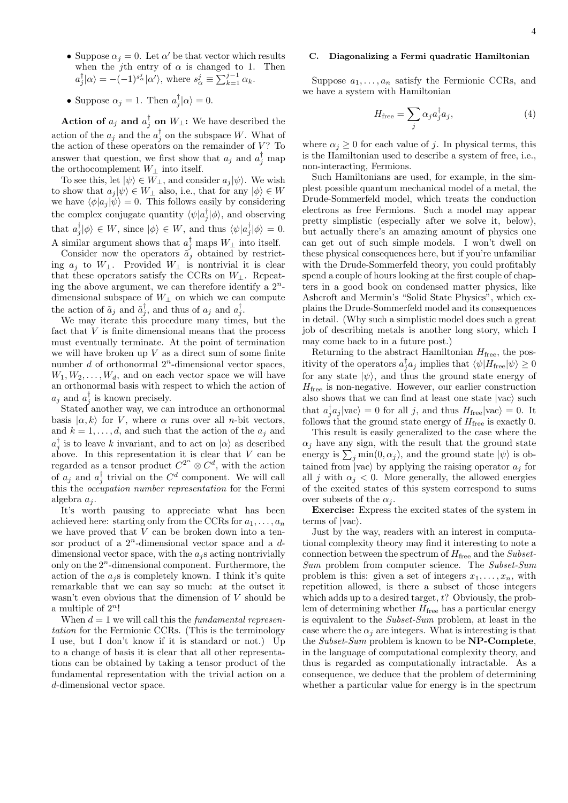- Suppose  $\alpha_j = 0$ . Let  $\alpha'$  be that vector which results when the j<sup>th</sup> entry of  $\alpha$  is changed to 1. Then  $a_j^{\dagger}|\alpha\rangle = -(-1)^{s^j_{\alpha}}|\alpha'\rangle$ , where  $s^j_{\alpha} \equiv \sum_{k=1}^{j-1} \alpha_k$ .
- Suppose  $\alpha_j = 1$ . Then  $a_j^{\dagger} | \alpha \rangle = 0$ .

Action of  $a_j$  and  $a_j^{\dagger}$  on  $W_{\perp}$ : We have described the action of the  $a_j$  and the  $a_j^{\dagger}$  on the subspace W. What of the action of these operators on the remainder of  $V$ ? To answer that question, we first show that  $a_j$  and  $a_j^{\dagger}$  map the orthocomplement  $W_\perp$  into itself.

To see this, let  $|\psi\rangle \in W_{\perp}$ , and consider  $a_j |\psi\rangle$ . We wish to show that  $a_j |\psi\rangle \in W_\perp$  also, i.e., that for any  $|\phi\rangle \in W$ we have  $\langle \phi | a_j | \psi \rangle = 0$ . This follows easily by considering the complex conjugate quantity  $\langle \psi | a_j^{\dagger} | \phi \rangle$ , and observing that  $a_j^{\dagger}|\phi\rangle \in W$ , since  $|\phi\rangle \in W$ , and thus  $\langle \psi | a_j^{\dagger} | \phi \rangle = 0$ . A similar argument shows that  $a_j^{\dagger}$  maps  $W_{\perp}$  into itself.

Consider now the operators  $\tilde{a}_j$  obtained by restricting  $a_j$  to  $W_\perp$ . Provided  $W_\perp$  is nontrivial it is clear that these operators satisfy the CCRs on  $W_{\perp}$ . Repeating the above argument, we can therefore identify a  $2^n$ dimensional subspace of  $W_{\perp}$  on which we can compute the action of  $\tilde{a}_j$  and  $\tilde{a}_j^{\dagger}$ , and thus of  $a_j$  and  $a_j^{\dagger}$ .

We may iterate this procedure many times, but the fact that V is finite dimensional means that the process must eventually terminate. At the point of termination we will have broken up  $V$  as a direct sum of some finite number  $d$  of orthonormal  $2^n$ -dimensional vector spaces,  $W_1, W_2, \ldots, W_d$ , and on each vector space we will have an orthonormal basis with respect to which the action of  $a_j$  and  $a_j^{\dagger}$  is known precisely.

Stated another way, we can introduce an orthonormal basis  $|\alpha, k\rangle$  for V, where  $\alpha$  runs over all *n*-bit vectors, and  $k = 1, \ldots, d$ , and such that the action of the  $a_i$  and  $a_j^{\dagger}$  is to leave k invariant, and to act on  $|\alpha\rangle$  as described above. In this representation it is clear that  $V$  can be regarded as a tensor product  $C^{2^n} \otimes C^d$ , with the action of  $a_j$  and  $a_j^{\dagger}$  trivial on the  $C^d$  component. We will call this the occupation number representation for the Fermi algebra  $a_i$ .

It's worth pausing to appreciate what has been achieved here: starting only from the CCRs for  $a_1, \ldots, a_n$ we have proved that V can be broken down into a tensor product of a  $2^n$ -dimensional vector space and a  $d$ dimensional vector space, with the  $a_i$ s acting nontrivially only on the  $2<sup>n</sup>$ -dimensional component. Furthermore, the action of the  $a_j$ s is completely known. I think it's quite remarkable that we can say so much: at the outset it wasn't even obvious that the dimension of V should be a multiple of  $2^n!$ 

When  $d = 1$  we will call this the *fundamental represen*tation for the Fermionic CCRs. (This is the terminology I use, but I don't know if it is standard or not.) Up to a change of basis it is clear that all other representations can be obtained by taking a tensor product of the fundamental representation with the trivial action on a d-dimensional vector space.

# C. Diagonalizing a Fermi quadratic Hamiltonian

Suppose  $a_1, \ldots, a_n$  satisfy the Fermionic CCRs, and we have a system with Hamiltonian

$$
H_{\text{free}} = \sum_{j} \alpha_j a_j^{\dagger} a_j, \tag{4}
$$

where  $\alpha_i \geq 0$  for each value of j. In physical terms, this is the Hamiltonian used to describe a system of free, i.e., non-interacting, Fermions.

Such Hamiltonians are used, for example, in the simplest possible quantum mechanical model of a metal, the Drude-Sommerfeld model, which treats the conduction electrons as free Fermions. Such a model may appear pretty simplistic (especially after we solve it, below), but actually there's an amazing amount of physics one can get out of such simple models. I won't dwell on these physical consequences here, but if you're unfamiliar with the Drude-Sommerfeld theory, you could profitably spend a couple of hours looking at the first couple of chapters in a good book on condensed matter physics, like Ashcroft and Mermin's "Solid State Physics", which explains the Drude-Sommerfeld model and its consequences in detail. (Why such a simplistic model does such a great job of describing metals is another long story, which I may come back to in a future post.)

Returning to the abstract Hamiltonian  $H_{\text{free}}$ , the positivity of the operators  $a_j^{\dagger} a_j$  implies that  $\langle \psi | H_{\text{free}} | \psi \rangle \ge 0$ for any state  $|\psi\rangle$ , and thus the ground state energy of  $H_{\text{free}}$  is non-negative. However, our earlier construction also shows that we can find at least one state  $|vac\rangle$  such that  $a_j^{\dagger} a_j |\text{vac}\rangle = 0$  for all j, and thus  $H_{\text{free}} |\text{vac}\rangle = 0$ . It follows that the ground state energy of  $H_{\text{free}}$  is exactly 0.

This result is easily generalized to the case where the  $\alpha_i$  have any sign, with the result that the ground state energy is  $\sum_j \min(0, \alpha_j)$ , and the ground state  $|\psi\rangle$  is obtained from  $|vac\rangle$  by applying the raising operator  $a_j$  for all j with  $\alpha_i < 0$ . More generally, the allowed energies of the excited states of this system correspond to sums over subsets of the  $\alpha_i$ .

Exercise: Express the excited states of the system in terms of  $|vac\rangle$ .

Just by the way, readers with an interest in computational complexity theory may find it interesting to note a connection between the spectrum of  $H_{\text{free}}$  and the *Subset*-Sum problem from computer science. The Subset-Sum problem is this: given a set of integers  $x_1, \ldots, x_n$ , with repetition allowed, is there a subset of those integers which adds up to a desired target,  $t$ ? Obviously, the problem of determining whether  $H_{\text{free}}$  has a particular energy is equivalent to the Subset-Sum problem, at least in the case where the  $\alpha_i$  are integers. What is interesting is that the Subset-Sum problem is known to be NP-Complete, in the language of computational complexity theory, and thus is regarded as computationally intractable. As a consequence, we deduce that the problem of determining whether a particular value for energy is in the spectrum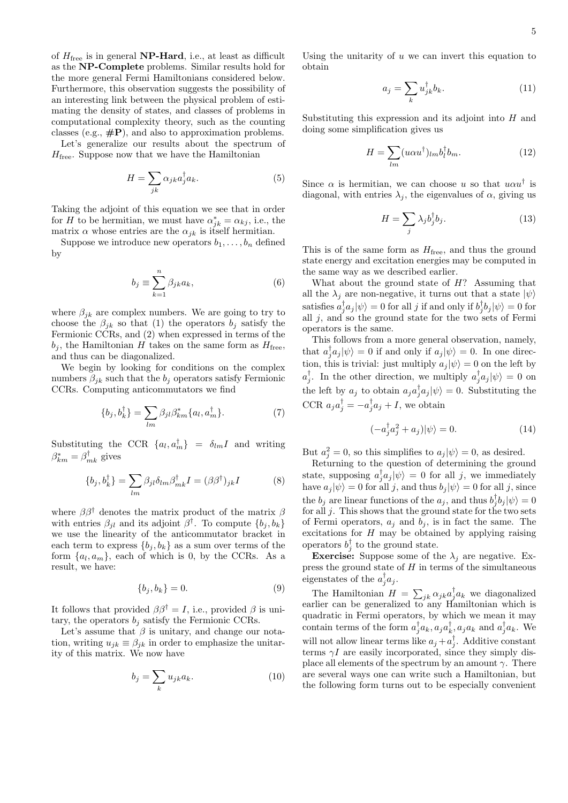of  $H_{\text{free}}$  is in general **NP-Hard**, i.e., at least as difficult as the NP-Complete problems. Similar results hold for the more general Fermi Hamiltonians considered below. Furthermore, this observation suggests the possibility of an interesting link between the physical problem of estimating the density of states, and classes of problems in computational complexity theory, such as the counting classes (e.g.,  $\#P$ ), and also to approximation problems.

Let's generalize our results about the spectrum of  $H_{\text{free}}$ . Suppose now that we have the Hamiltonian

$$
H = \sum_{jk} \alpha_{jk} a_j^{\dagger} a_k. \tag{5}
$$

Taking the adjoint of this equation we see that in order for H to be hermitian, we must have  $\alpha_{jk}^* = \alpha_{kj}$ , i.e., the matrix  $\alpha$  whose entries are the  $\alpha_{jk}$  is itself hermitian.

Suppose we introduce new operators  $b_1, \ldots, b_n$  defined by

$$
b_j \equiv \sum_{k=1}^n \beta_{jk} a_k,\tag{6}
$$

where  $\beta_{jk}$  are complex numbers. We are going to try to choose the  $\beta_{jk}$  so that (1) the operators  $b_j$  satisfy the Fermionic CCRs, and (2) when expressed in terms of the  $b_j$ , the Hamiltonian H takes on the same form as  $H_{\text{free}}$ , and thus can be diagonalized.

We begin by looking for conditions on the complex numbers  $\beta_{jk}$  such that the  $b_j$  operators satisfy Fermionic CCRs. Computing anticommutators we find

$$
\{b_j, b_k^{\dagger}\} = \sum_{lm} \beta_{jl} \beta_{km}^* \{a_l, a_m^{\dagger}\}.
$$
 (7)

Substituting the CCR  $\{a_l, a_m^{\dagger}\} = \delta_{lm} I$  and writing  $\beta_{km}^* = \beta_{mk}^{\dagger}$  gives

$$
\{b_j, b_k^{\dagger}\} = \sum_{lm} \beta_{jl} \delta_{lm} \beta_{mk}^{\dagger} I = (\beta \beta^{\dagger})_{jk} I \tag{8}
$$

where  $\beta\beta^{\dagger}$  denotes the matrix product of the matrix  $\beta$ with entries  $\beta_{jl}$  and its adjoint  $\beta^{\dagger}$ . To compute  $\{b_j, b_k\}$ we use the linearity of the anticommutator bracket in each term to express  $\{b_j, b_k\}$  as a sum over terms of the form  $\{a_l, a_m\}$ , each of which is 0, by the CCRs. As a result, we have:

$$
\{b_j, b_k\} = 0.\tag{9}
$$

It follows that provided  $\beta \beta^{\dagger} = I$ , i.e., provided  $\beta$  is unitary, the operators  $b_i$  satisfy the Fermionic CCRs.

Let's assume that  $\beta$  is unitary, and change our notation, writing  $u_{jk} \equiv \beta_{jk}$  in order to emphasize the unitarity of this matrix. We now have

$$
b_j = \sum_k u_{jk} a_k. \tag{10}
$$

Using the unitarity of  $u$  we can invert this equation to obtain

$$
a_j = \sum_k u_{jk}^\dagger b_k. \tag{11}
$$

Substituting this expression and its adjoint into  $H$  and doing some simplification gives us

$$
H = \sum_{lm} (u\alpha u^{\dagger})_{lm} b_l^{\dagger} b_m.
$$
 (12)

Since  $\alpha$  is hermitian, we can choose u so that  $u\alpha u^{\dagger}$  is diagonal, with entries  $\lambda_j$ , the eigenvalues of  $\alpha$ , giving us

$$
H = \sum_{j} \lambda_j b_j^{\dagger} b_j. \tag{13}
$$

This is of the same form as  $H_{\text{free}}$ , and thus the ground state energy and excitation energies may be computed in the same way as we described earlier.

What about the ground state of  $H$ ? Assuming that all the  $\lambda_j$  are non-negative, it turns out that a state  $|\psi\rangle$ satisfies  $a_j^{\dagger} a_j |\psi\rangle = 0$  for all j if and only if  $b_j^{\dagger} b_j |\psi\rangle = 0$  for all  $j$ , and so the ground state for the two sets of Fermi operators is the same.

This follows from a more general observation, namely, that  $a_j^{\dagger} a_j |\psi\rangle = 0$  if and only if  $a_j |\psi\rangle = 0$ . In one direction, this is trivial: just multiply  $a_i |\psi\rangle = 0$  on the left by  $a_j^{\dagger}$ . In the other direction, we multiply  $a_j^{\dagger}a_j|\psi\rangle = 0$  on the left by  $a_j$  to obtain  $a_j a_j^{\dagger} a_j |\psi\rangle = 0$ . Substituting the CCR  $a_j a_j^{\dagger} = -a_j^{\dagger} a_j + I$ , we obtain

$$
(-a_j^{\dagger} a_j^2 + a_j)|\psi\rangle = 0.
$$
 (14)

But  $a_j^2 = 0$ , so this simplifies to  $a_j |\psi\rangle = 0$ , as desired.

Returning to the question of determining the ground state, supposing  $a_j^{\dagger} a_j |\psi\rangle = 0$  for all j, we immediately have  $a_i |\psi\rangle = 0$  for all j, and thus  $b_i |\psi\rangle = 0$  for all j, since the  $b_j$  are linear functions of the  $a_j$ , and thus  $b_j^{\dagger}b_j|\psi\rangle = 0$ for all  $j$ . This shows that the ground state for the two sets of Fermi operators,  $a_j$  and  $b_j$ , is in fact the same. The excitations for  $H$  may be obtained by applying raising operators  $b_j^{\dagger}$  to the ground state.

**Exercise:** Suppose some of the  $\lambda_i$  are negative. Express the ground state of  $H$  in terms of the simultaneous eigenstates of the  $a_j^{\dagger} a_j$ .

The Hamiltonian  $H = \sum_{jk} \alpha_{jk} a_j^{\dagger} a_k$  we diagonalized earlier can be generalized to any Hamiltonian which is quadratic in Fermi operators, by which we mean it may contain terms of the form  $a_j^{\dagger} a_k, a_j a_k^{\dagger} a_k$  and  $a_j^{\dagger} a_k$ . We will not allow linear terms like  $a_j + a_j^{\dagger}$ . Additive constant terms  $\gamma I$  are easily incorporated, since they simply displace all elements of the spectrum by an amount  $\gamma$ . There are several ways one can write such a Hamiltonian, but the following form turns out to be especially convenient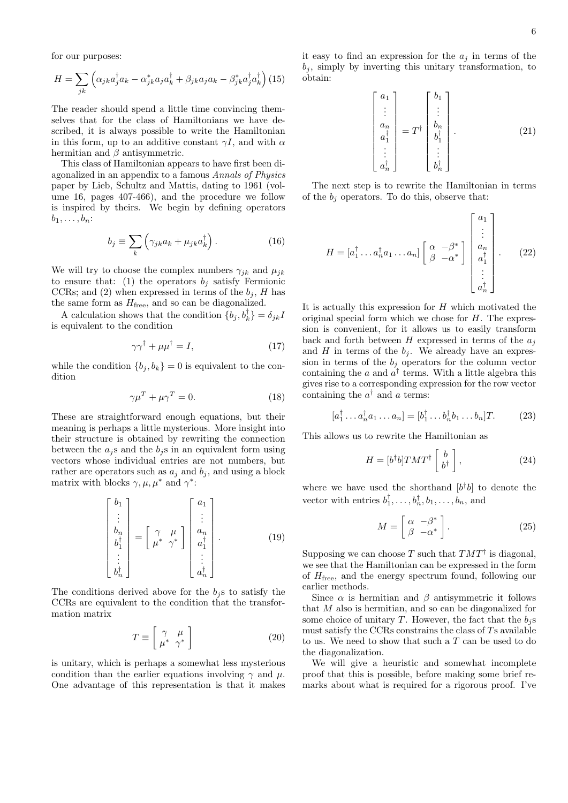for our purposes:

$$
H = \sum_{jk} \left( \alpha_{jk} a_j^{\dagger} a_k - \alpha_{jk}^* a_j a_k^{\dagger} + \beta_{jk} a_j a_k - \beta_{jk}^* a_j^{\dagger} a_k^{\dagger} \right) (15)
$$

The reader should spend a little time convincing themselves that for the class of Hamiltonians we have described, it is always possible to write the Hamiltonian in this form, up to an additive constant  $\gamma I$ , and with  $\alpha$ hermitian and  $\beta$  antisymmetric.

This class of Hamiltonian appears to have first been diagonalized in an appendix to a famous Annals of Physics paper by Lieb, Schultz and Mattis, dating to 1961 (volume 16, pages 407-466), and the procedure we follow is inspired by theirs. We begin by defining operators  $b_1, \ldots, b_n$ :

$$
b_j \equiv \sum_k \left( \gamma_{jk} a_k + \mu_{jk} a_k^{\dagger} \right). \tag{16}
$$

We will try to choose the complex numbers  $\gamma_{jk}$  and  $\mu_{jk}$ to ensure that: (1) the operators  $b_j$  satisfy Fermionic CCRs; and (2) when expressed in terms of the  $b_i$ , H has the same form as  $H_{\text{free}}$ , and so can be diagonalized.

A calculation shows that the condition  $\{b_j, b_k^{\dagger}\} = \delta_{jk}I$ is equivalent to the condition

$$
\gamma \gamma^{\dagger} + \mu \mu^{\dagger} = I, \tag{17}
$$

while the condition  ${b_i, b_k} = 0$  is equivalent to the condition

$$
\gamma \mu^T + \mu \gamma^T = 0. \tag{18}
$$

These are straightforward enough equations, but their meaning is perhaps a little mysterious. More insight into their structure is obtained by rewriting the connection between the  $a_i$ s and the  $b_i$ s in an equivalent form using vectors whose individual entries are not numbers, but rather are operators such as  $a_j$  and  $b_j$ , and using a block matrix with blocks  $\gamma, \mu, \mu^*$  and  $\gamma^*$ :

$$
\begin{bmatrix} b_1 \\ \vdots \\ b_n \\ b_1^{\dagger} \\ \vdots \\ b_n^{\dagger} \end{bmatrix} = \begin{bmatrix} \gamma & \mu \\ \mu^* & \gamma^* \end{bmatrix} \begin{bmatrix} a_1 \\ \vdots \\ a_n \\ a_1^{\dagger} \\ \vdots \\ a_n^{\dagger} \end{bmatrix} . \tag{19}
$$

The conditions derived above for the  $b_i$ s to satisfy the CCRs are equivalent to the condition that the transformation matrix

$$
T \equiv \left[ \begin{array}{cc} \gamma & \mu \\ \mu^* & \gamma^* \end{array} \right] \tag{20}
$$

is unitary, which is perhaps a somewhat less mysterious condition than the earlier equations involving  $\gamma$  and  $\mu$ . One advantage of this representation is that it makes it easy to find an expression for the  $a_j$  in terms of the  $b_i$ , simply by inverting this unitary transformation, to obtain:

$$
\begin{bmatrix} a_1 \\ \vdots \\ a_n \\ a_1^\dagger \\ \vdots \\ a_n^\dagger \end{bmatrix} = T^\dagger \begin{bmatrix} b_1 \\ \vdots \\ b_n \\ b_1^\dagger \\ \vdots \\ b_n^\dagger \end{bmatrix} . \tag{21}
$$

The next step is to rewrite the Hamiltonian in terms of the  $b_i$  operators. To do this, observe that:

$$
H = [a_1^{\dagger} \dots a_n^{\dagger} a_1 \dots a_n] \begin{bmatrix} \alpha & -\beta^* \\ \beta & -\alpha^* \end{bmatrix} \begin{bmatrix} a_1 \\ \vdots \\ a_n \\ a_1^{\dagger} \\ \vdots \\ a_n^{\dagger} \end{bmatrix} .
$$
 (22)

It is actually this expression for  $H$  which motivated the original special form which we chose for  $H$ . The expression is convenient, for it allows us to easily transform back and forth between H expressed in terms of the  $a_i$ and H in terms of the  $b_i$ . We already have an expression in terms of the  $b_j$  operators for the column vector containing the a and  $a^{\dagger}$  terms. With a little algebra this gives rise to a corresponding expression for the row vector containing the  $a^{\dagger}$  and a terms:

$$
[a_1^{\dagger} \dots a_n^{\dagger} a_1 \dots a_n] = [b_1^{\dagger} \dots b_n^{\dagger} b_1 \dots b_n]T.
$$
 (23)

This allows us to rewrite the Hamiltonian as

$$
H = [b^{\dagger}b] T M T^{\dagger} \begin{bmatrix} b \\ b^{\dagger} \end{bmatrix}, \qquad (24)
$$

where we have used the shorthand  $[b^{\dagger}b]$  to denote the vector with entries  $b_1^{\dagger}, \ldots, b_n^{\dagger}, b_1, \ldots, b_n$ , and

$$
M = \begin{bmatrix} \alpha & -\beta^* \\ \beta & -\alpha^* \end{bmatrix} . \tag{25}
$$

Supposing we can choose T such that  $TMT^{\dagger}$  is diagonal, we see that the Hamiltonian can be expressed in the form of  $H_{\text{free}}$ , and the energy spectrum found, following our earlier methods.

Since  $\alpha$  is hermitian and  $\beta$  antisymmetric it follows that M also is hermitian, and so can be diagonalized for some choice of unitary T. However, the fact that the  $b_i$ s must satisfy the CCRs constrains the class of  $T_s$  available to us. We need to show that such a  $T$  can be used to do the diagonalization.

We will give a heuristic and somewhat incomplete proof that this is possible, before making some brief remarks about what is required for a rigorous proof. I've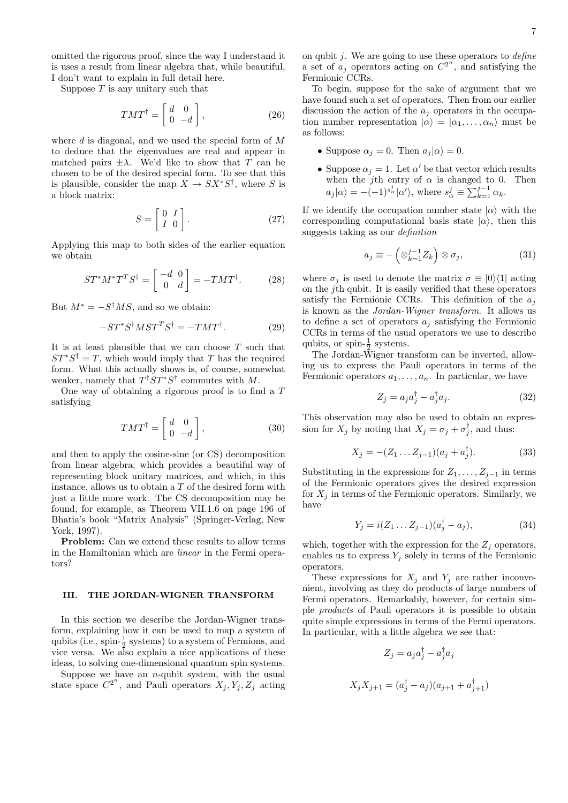omitted the rigorous proof, since the way I understand it is uses a result from linear algebra that, while beautiful, I don't want to explain in full detail here.

Suppose  $T$  is any unitary such that

$$
TMT^{\dagger} = \begin{bmatrix} d & 0 \\ 0 & -d \end{bmatrix}, \tag{26}
$$

where  $d$  is diagonal, and we used the special form of  $M$ to deduce that the eigenvalues are real and appear in matched pairs  $\pm \lambda$ . We'd like to show that T can be chosen to be of the desired special form. To see that this is plausible, consider the map  $X \to SX^*S^{\dagger}$ , where S is a block matrix:

$$
S = \left[ \begin{array}{cc} 0 & I \\ I & 0 \end{array} \right]. \tag{27}
$$

Applying this map to both sides of the earlier equation we obtain

$$
ST^*M^*T^TS^\dagger = \begin{bmatrix} -d & 0\\ 0 & d \end{bmatrix} = -TMT^\dagger. \tag{28}
$$

But  $M^* = -S^{\dagger}MS$ , and so we obtain:

$$
-ST^*S^{\dagger}MST^TS^{\dagger} = -TMT^{\dagger}.
$$
 (29)

It is at least plausible that we can choose  $T$  such that  $ST^*S^{\dagger} = T$ , which would imply that T has the required form. What this actually shows is, of course, somewhat weaker, namely that  $T^{\dagger}ST^*S^{\dagger}$  commutes with M.

One way of obtaining a rigorous proof is to find a T satisfying

$$
TMT^{\dagger} = \begin{bmatrix} d & 0 \\ 0 & -d \end{bmatrix}, \tag{30}
$$

and then to apply the cosine-sine (or CS) decomposition from linear algebra, which provides a beautiful way of representing block unitary matrices, and which, in this instance, allows us to obtain a T of the desired form with just a little more work. The CS decomposition may be found, for example, as Theorem VII.1.6 on page 196 of Bhatia's book "Matrix Analysis" (Springer-Verlag, New York, 1997).

Problem: Can we extend these results to allow terms in the Hamiltonian which are linear in the Fermi operators?

#### III. THE JORDAN-WIGNER TRANSFORM

In this section we describe the Jordan-Wigner transform, explaining how it can be used to map a system of qubits (i.e.,  $\text{spin-}\frac{1}{2}$  systems) to a system of Fermions, and vice versa. We also explain a nice applications of these ideas, to solving one-dimensional quantum spin systems.

Suppose we have an  $n$ -qubit system, with the usual state space  $C^{2^n}$ , and Pauli operators  $X_j, Y_j, Z_j$  acting on qubit  $j$ . We are going to use these operators to *define* a set of  $a_j$  operators acting on  $C^{2^n}$ , and satisfying the Fermionic CCRs.

To begin, suppose for the sake of argument that we have found such a set of operators. Then from our earlier discussion the action of the  $a_i$  operators in the occupation number representation  $|\alpha\rangle = |\alpha_1, \ldots, \alpha_n\rangle$  must be as follows:

- Suppose  $\alpha_j = 0$ . Then  $a_j |\alpha\rangle = 0$ .
- Suppose  $\alpha_j = 1$ . Let  $\alpha'$  be that vector which results when the j<sup>th</sup> entry of  $\alpha$  is changed to 0. Then  $a_j |\alpha\rangle = -(-1)^{s^j_\alpha} |\alpha'\rangle$ , where  $s^j_\alpha \equiv \sum_{k=1}^{j-1} \alpha_k$ .

If we identify the occupation number state  $|\alpha\rangle$  with the corresponding computational basis state  $|\alpha\rangle$ , then this suggests taking as our definition

$$
a_j \equiv -\left(\otimes_{k=1}^{j-1} Z_k\right) \otimes \sigma_j,\tag{31}
$$

where  $\sigma_i$  is used to denote the matrix  $\sigma \equiv |0\rangle\langle 1|$  acting on the jth qubit. It is easily verified that these operators satisfy the Fermionic CCRs. This definition of the  $a_i$ is known as the Jordan-Wigner transform. It allows us to define a set of operators  $a_j$  satisfying the Fermionic CCRs in terms of the usual operators we use to describe qubits, or spin- $\frac{1}{2}$  systems.

The Jordan-Wigner transform can be inverted, allowing us to express the Pauli operators in terms of the Fermionic operators  $a_1, \ldots, a_n$ . In particular, we have

$$
Z_j = a_j a_j^{\dagger} - a_j^{\dagger} a_j. \tag{32}
$$

This observation may also be used to obtain an expression for  $X_j$  by noting that  $X_j = \sigma_j + \sigma_j^{\dagger}$ , and thus:

$$
X_j = -(Z_1 \dots Z_{j-1})(a_j + a_j^{\dagger}). \tag{33}
$$

Substituting in the expressions for  $Z_1, \ldots, Z_{j-1}$  in terms of the Fermionic operators gives the desired expression for  $X_i$  in terms of the Fermionic operators. Similarly, we have

$$
Y_j = i(Z_1 \dots Z_{j-1})(a_j^{\dagger} - a_j), \tag{34}
$$

which, together with the expression for the  $Z_j$  operators, enables us to express  $Y_j$  solely in terms of the Fermionic operators.

These expressions for  $X_j$  and  $Y_j$  are rather inconvenient, involving as they do products of large numbers of Fermi operators. Remarkably, however, for certain simple products of Pauli operators it is possible to obtain quite simple expressions in terms of the Fermi operators. In particular, with a little algebra we see that:

$$
Z_j = a_j a_j^{\dagger} - a_j^{\dagger} a_j
$$
  

$$
X_j X_{j+1} = (a_j^{\dagger} - a_j)(a_{j+1} + a_{j+1}^{\dagger})
$$